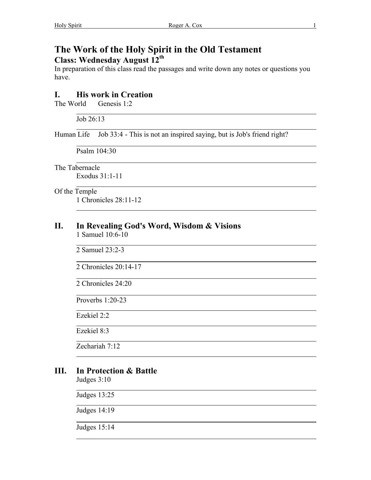# **The Work of the Holy Spirit in the Old Testament Class: Wednesday August 12th**

In preparation of this class read the passages and write down any notes or questions you have.

## **I. His work in Creation**

The World Genesis 1:2

Job 26:13

Human Life Job 33:4 - This is not an inspired saying, but is Job's friend right?

Psalm 104:30

 $\overline{a}$ The Tabernacle

 $\overline{a}$ 

l

l

 $\overline{a}$ 

l

Exodus 31:1-11 l

Of the Temple 1 Chronicles 28:11-12

#### **II. In Revealing God's Word, Wisdom & Visions**  1 Samuel 10:6-10

l 2 Samuel 23:2-3

2 Chronicles 20:14-17

2 Chronicles 24:20

Proverbs 1:20-23

Ezekiel 2:2

Ezekiel 8:3

Zechariah 7:12

## **III. In Protection & Battle**

Judges 3:10

Judges 13:25

Judges 14:19

Judges 15:14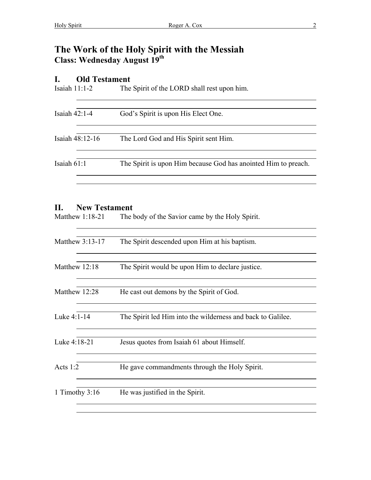# **The Work of the Holy Spirit with the Messiah Class: Wednesday August 19th**

## **I. Old Testament**

| Isaiah $11:1-2$ | The Spirit of the LORD shall rest upon him.                    |
|-----------------|----------------------------------------------------------------|
| Isaiah $42:1-4$ | God's Spirit is upon His Elect One.                            |
| Isaiah 48:12-16 | The Lord God and His Spirit sent Him.                          |
| Isaiah 61:1     | The Spirit is upon Him because God has anointed Him to preach. |
|                 |                                                                |

#### **II. New Testament**

l

Matthew 1:18-21 The body of the Savior came by the Holy Spirit.

| Matthew $3:13-17$ | The Spirit descended upon Him at his baptism.               |
|-------------------|-------------------------------------------------------------|
| Matthew 12:18     | The Spirit would be upon Him to declare justice.            |
| Matthew 12:28     | He cast out demons by the Spirit of God.                    |
| Luke 4:1-14       | The Spirit led Him into the wilderness and back to Galilee. |
| Luke 4:18-21      | Jesus quotes from Isaiah 61 about Himself.                  |
| Acts $1:2$        | He gave commandments through the Holy Spirit.               |
| 1 Timothy $3:16$  | He was justified in the Spirit.                             |
|                   |                                                             |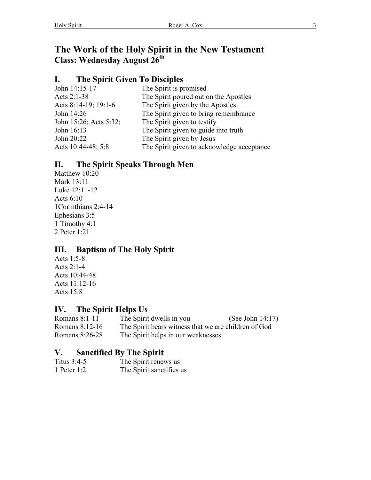# **The Work of the Holy Spirit in the New Testament Class: Wednesday August 26th**

# **I. The Spirit Given To Disciples**

| John 14:15-17          | The Spirit is promised                     |
|------------------------|--------------------------------------------|
| Acts 2:1-38            | The Spirit poured out on the Apostles      |
| Acts 8:14-19; 19:1-6   | The Spirit given by the Apostles           |
| John 14:26             | The Spirit given to bring remembrance      |
| John 15:26; Acts 5:32; | The Spirit given to testify                |
| John 16:13             | The Spirit given to guide into truth       |
| John 20:22             | The Spirit given by Jesus                  |
| Acts 10:44-48; 5:8     | The Spirit given to acknowledge acceptance |
|                        |                                            |

# **II. The Spirit Speaks Through Men**

Matthew 10:20 Mark 13:11 Luke 12:11-12 Acts 6:10 1Corinthians 2:4-14 Ephesians 3:5 1 Timothy 4:1 2 Peter 1:21

## **III. Baptism of The Holy Spirit**

Acts 1:5-8 Acts 2:1-4 Acts 10:44-48 Acts 11:12-16 Acts 15:8

# **IV. The Spirit Helps Us**

| Romans 8:1-11  | The Spirit dwells in you                             | (See John $14:17$ ) |
|----------------|------------------------------------------------------|---------------------|
| Romans 8:12-16 | The Spirit bears witness that we are children of God |                     |
| Romans 8:26-28 | The Spirit helps in our weaknesses                   |                     |

## **V. Sanctified By The Spirit**

| Titus $3:4-5$ | The Spirit renews us     |
|---------------|--------------------------|
| 1 Peter $1:2$ | The Spirit sanctifies us |